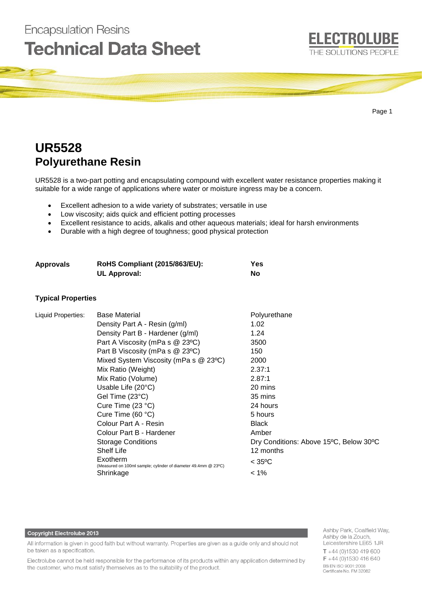

# **UR5528 Polyurethane Resin**

**Encapsulation Resins** 

UR5528 is a two-part potting and encapsulating compound with excellent water resistance properties making it suitable for a wide range of applications where water or moisture ingress may be a concern.

- Excellent adhesion to a wide variety of substrates; versatile in use
- Low viscosity; aids quick and efficient potting processes
- Excellent resistance to acids, alkalis and other aqueous materials; ideal for harsh environments
- Durable with a high degree of toughness; good physical protection

| Approvals | <b>RoHS Compliant (2015/863/EU):</b> | Yes |
|-----------|--------------------------------------|-----|
|           | <b>UL Approval:</b>                  | No  |

#### **Typical Properties**

| Liquid Properties: | <b>Base Material</b>                                                       | Polyurethane                           |
|--------------------|----------------------------------------------------------------------------|----------------------------------------|
|                    | Density Part A - Resin (g/ml)                                              | 1.02                                   |
|                    | Density Part B - Hardener (g/ml)                                           | 1.24                                   |
|                    | Part A Viscosity (mPa s @ 23°C)                                            | 3500                                   |
|                    | Part B Viscosity (mPa s @ 23°C)                                            | 150                                    |
|                    | Mixed System Viscosity (mPa s @ 23°C)                                      | 2000                                   |
|                    | Mix Ratio (Weight)                                                         | 2.37:1                                 |
|                    | Mix Ratio (Volume)                                                         | 2.87:1                                 |
|                    | Usable Life $(20^{\circ}C)$                                                | 20 mins                                |
|                    | Gel Time (23°C)                                                            | 35 mins                                |
|                    | Cure Time $(23 °C)$                                                        | 24 hours                               |
|                    | Cure Time $(60 °C)$                                                        | 5 hours                                |
|                    | Colour Part A - Resin                                                      | <b>Black</b>                           |
|                    | Colour Part B - Hardener                                                   | Amber                                  |
|                    | <b>Storage Conditions</b>                                                  | Dry Conditions: Above 15°C, Below 30°C |
|                    | <b>Shelf Life</b>                                                          | 12 months                              |
|                    | Exotherm<br>(Measured on 100ml sample; cylinder of diameter 49.4mm @ 23°C) | $<$ 35°C                               |
|                    | Shrinkage                                                                  | $< 1\%$                                |

#### **Copyright Electrolube 2013**

All information is given in good faith but without warranty. Properties are given as a guide only and should not be taken as a specification.

Electrolube cannot be held responsible for the performance of its products within any application determined by the customer, who must satisfy themselves as to the suitability of the product.

Ashby Park, Coalfield Way, Ashby de la Zouch, Leicestershire LE65 1JR  $T + 44(0)1530419600$ F +44 (0)1530 416 640 BS EN ISO 9001:2008 Certificate No. FM 32082

**ELECTROLUBE**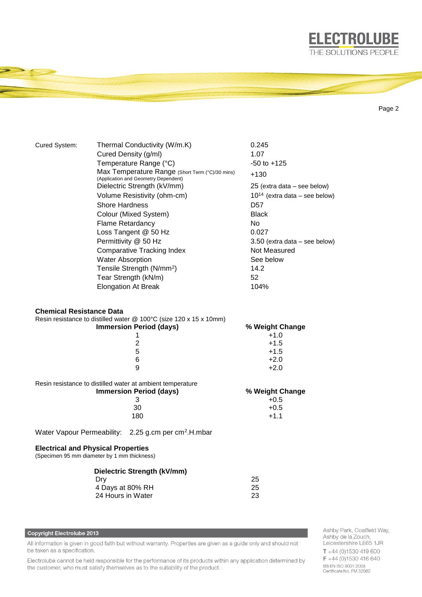

Page 2

| Cured System:                             | Thermal Conductivity (W/m.K)                                                            | 0.245                              |  |
|-------------------------------------------|-----------------------------------------------------------------------------------------|------------------------------------|--|
|                                           | Cured Density (g/ml)                                                                    | 1.07                               |  |
|                                           | Temperature Range (°C)                                                                  | $-50$ to $+125$                    |  |
|                                           | Max Temperature Range (Short Term (°C)/30 mins)<br>(Application and Geometry Dependent) | $+130$                             |  |
|                                           | Dielectric Strength (kV/mm)                                                             | 25 (extra data - see below)        |  |
|                                           | Volume Resistivity (ohm-cm)                                                             | $10^{14}$ (extra data – see below) |  |
|                                           | Shore Hardness                                                                          | D57                                |  |
|                                           | Colour (Mixed System)                                                                   | <b>Black</b>                       |  |
|                                           | <b>Flame Retardancy</b>                                                                 | No.                                |  |
|                                           | Loss Tangent @ 50 Hz                                                                    | 0.027                              |  |
|                                           | Permittivity @ 50 Hz                                                                    | $3.50$ (extra data – see below)    |  |
|                                           | <b>Comparative Tracking Index</b>                                                       | Not Measured                       |  |
|                                           | <b>Water Absorption</b>                                                                 | See below                          |  |
|                                           | Tensile Strength (N/mm <sup>2</sup> )                                                   | 14.2                               |  |
|                                           | Tear Strength (kN/m)                                                                    | 52                                 |  |
|                                           | <b>Elongation At Break</b>                                                              | 104%                               |  |
|                                           |                                                                                         |                                    |  |
| <b>Chemical Resistance Data</b>           |                                                                                         |                                    |  |
|                                           | Resin resistance to distilled water @ 100°C (size 120 x 15 x 10mm)                      |                                    |  |
|                                           | <b>Immersion Period (days)</b>                                                          | % Weight Change                    |  |
|                                           | 1                                                                                       | $+1.0$                             |  |
|                                           | $\overline{2}$                                                                          | $+1.5$                             |  |
| 5                                         |                                                                                         | $+1.5$                             |  |
|                                           | 6                                                                                       | $+2.0$                             |  |
|                                           | 9                                                                                       | $+2.0$                             |  |
|                                           | Resin resistance to distilled water at ambient temperature                              |                                    |  |
|                                           | <b>Immersion Period (days)</b>                                                          | % Weight Change                    |  |
|                                           | 3                                                                                       | $+0.5$                             |  |
|                                           | 30                                                                                      | $+0.5$                             |  |
|                                           | 180                                                                                     | $+1.1$                             |  |
|                                           | Water Vapour Permeability: 2.25 g.cm per cm <sup>2</sup> .H.mbar                        |                                    |  |
| <b>Electrical and Physical Properties</b> |                                                                                         |                                    |  |
|                                           | (Specimen 95 mm diameter by 1 mm thickness)                                             |                                    |  |
|                                           |                                                                                         |                                    |  |

| Dielectric Strength (kV/mm) |    |
|-----------------------------|----|
| Drv                         | 25 |
| 4 Days at 80% RH            | 25 |
| 24 Hours in Water           | 23 |

# Copyright Electrolube 2013

All information is given in good faith but without warranty. Properties are given as a guide only and should not be taken as a specification.

Electrolube cannot be held responsible for the performance of its products within any application determined by the customer, who must satisfy themselves as to the suitability of the product.

Ashby Park, Coalfield Way,<br>Ashby de la Zouch, Leicestershire LE65 1JR  $T + 44$  (0)1530 419 600  $F + 44(0)1530416640$ BS EN ISO 9001:2008<br>Certificate No. FM 32082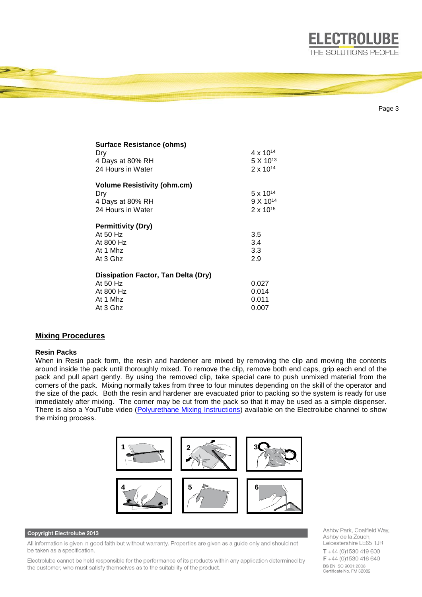

| Surface Resistance (ohms)                  |                      |
|--------------------------------------------|----------------------|
| Dry                                        | 4 x 10 <sup>14</sup> |
| 4 Days at 80% RH                           | 5 X 1013             |
| 24 Hours in Water                          | $2 \times 10^{14}$   |
| <b>Volume Resistivity (ohm.cm)</b>         |                      |
| Dry                                        | $5 \times 10^{14}$   |
| 4 Days at 80% RH                           | 9 X 10 <sup>14</sup> |
| 24 Hours in Water                          | $2 \times 10^{15}$   |
| <b>Permittivity (Dry)</b>                  |                      |
| At 50 Hz                                   | 3.5                  |
| At 800 Hz                                  | 3.4                  |
| At 1 Mhz                                   | 3.3                  |
| At 3 Ghz                                   | 2.9                  |
| <b>Dissipation Factor, Tan Delta (Dry)</b> |                      |
| At 50 Hz                                   | 0.027                |
| At 800 Hz                                  | 0.014                |
| At 1 Mhz                                   | 0.011                |
| At 3 Ghz                                   | 0.007                |

## **Mixing Procedures**

#### **Resin Packs**

When in Resin pack form, the resin and hardener are mixed by removing the clip and moving the contents around inside the pack until thoroughly mixed. To remove the clip, remove both end caps, grip each end of the pack and pull apart gently. By using the removed clip, take special care to push unmixed material from the corners of the pack. Mixing normally takes from three to four minutes depending on the skill of the operator and the size of the pack. Both the resin and hardener are evacuated prior to packing so the system is ready for use immediately after mixing. The corner may be cut from the pack so that it may be used as a simple dispenser. There is also a YouTube video [\(Polyurethane Mixing Instructions\)](https://www.youtube.com/watch?v=hmyCY7GaHoo) available on the Electrolube channel to show the mixing process.



## **Copyright Electrolube 2013**

All information is given in good faith but without warranty. Properties are given as a guide only and should not be taken as a specification.

Electrolube cannot be held responsible for the performance of its products within any application determined by the customer, who must satisfy themselves as to the suitability of the product.

Ashby Park, Coalfield Way, Ashby de la Zouch, Leicestershire LE65 1JR  $T + 44$  (0)1530 419 600 F +44 (0)1530 416 640 BS EN ISO 9001:2008 Certificate No. FM 32082

Page 3

**ELECTROLUBE**